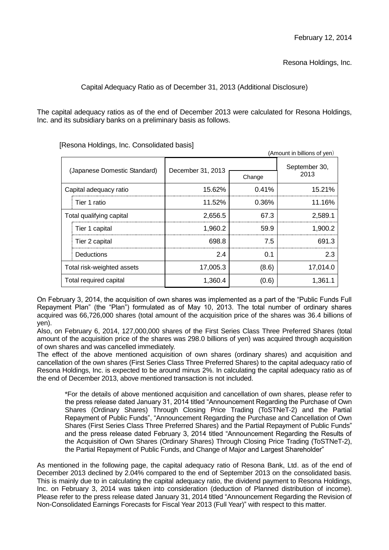Resona Holdings, Inc.

Capital Adequacy Ratio as of December 31, 2013 (Additional Disclosure)

The capital adequacy ratios as of the end of December 2013 were calculated for Resona Holdings, Inc. and its subsidiary banks on a preliminary basis as follows.

| (Amount in billions of yen)  |                          |                   |        |                       |
|------------------------------|--------------------------|-------------------|--------|-----------------------|
| (Japanese Domestic Standard) |                          | December 31, 2013 |        | September 30,<br>2013 |
|                              |                          |                   | Change |                       |
| Capital adequacy ratio       |                          | 15.62%            | 0.41%  | 15.21%                |
|                              | Tier 1 ratio             | 11.52%            | 0.36%  | 11.16%                |
|                              | Total qualifying capital | 2,656.5           | 67.3   | 2,589.1               |
|                              | Tier 1 capital           | 1,960.2           | 59.9   | 1,900.2               |
|                              | Tier 2 capital           | 698.8             | 7.5    | 691.3                 |
|                              | Deductions               | 2.4               | 0.1    | 2.3                   |
| Total risk-weighted assets   |                          | 17,005.3          | (8.6)  | 17,014.0              |
| Total required capital       |                          | 1,360.4           | (0.6)  | 1,361.1               |

[Resona Holdings, Inc. Consolidated basis]

On February 3, 2014, the acquisition of own shares was implemented as a part of the "Public Funds Full Repayment Plan" (the "Plan") formulated as of May 10, 2013. The total number of ordinary shares acquired was 66,726,000 shares (total amount of the acquisition price of the shares was 36.4 billions of yen).

Also, on February 6, 2014, 127,000,000 shares of the First Series Class Three Preferred Shares (total amount of the acquisition price of the shares was 298.0 billions of yen) was acquired through acquisition of own shares and was cancelled immediately.

The effect of the above mentioned acquisition of own shares (ordinary shares) and acquisition and cancellation of the own shares (First Series Class Three Preferred Shares) to the capital adequacy ratio of Resona Holdings, Inc. is expected to be around minus 2%. In calculating the capital adequacy ratio as of the end of December 2013, above mentioned transaction is not included.

\*For the details of above mentioned acquisition and cancellation of own shares, please refer to the press release dated January 31, 2014 titled "Announcement Regarding the Purchase of Own Shares (Ordinary Shares) Through Closing Price Trading (ToSTNeT-2) and the Partial Repayment of Public Funds", "Announcement Regarding the Purchase and Cancellation of Own Shares (First Series Class Three Preferred Shares) and the Partial Repayment of Public Funds" and the press release dated February 3, 2014 titled "Announcement Regarding the Results of the Acquisition of Own Shares (Ordinary Shares) Through Closing Price Trading (ToSTNeT-2), the Partial Repayment of Public Funds, and Change of Major and Largest Shareholder"

As mentioned in the following page, the capital adequacy ratio of Resona Bank, Ltd. as of the end of December 2013 declined by 2.04% compared to the end of September 2013 on the consolidated basis. This is mainly due to in calculating the capital adequacy ratio, the dividend payment to Resona Holdings, Inc. on February 3, 2014 was taken into consideration (deduction of Planned distribution of income). Please refer to the press release dated January 31, 2014 titled "Announcement Regarding the Revision of Non-Consolidated Earnings Forecasts for Fiscal Year 2013 (Full Year)" with respect to this matter.